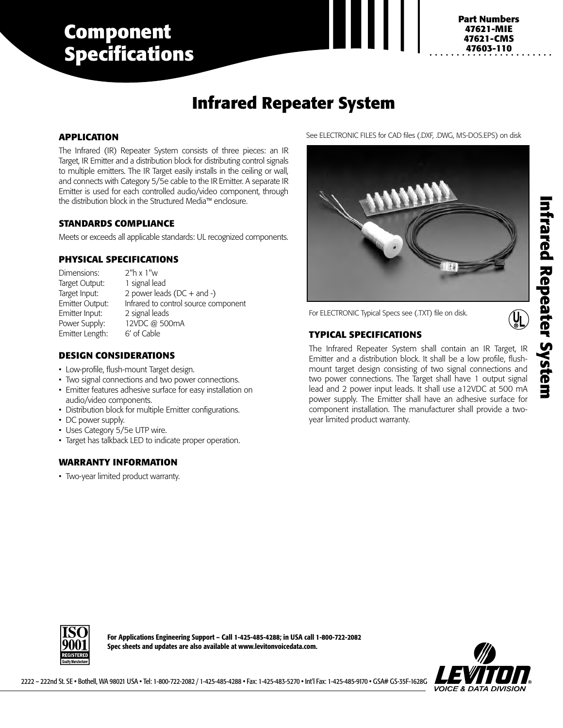# **Component Specifications**

#### **3880-DIN 47621-CMS Part Numbers 47621-MIE 47603-110**

# **Infrared Repeater System**

## **APPLICATION**

The Infrared (IR) Repeater System consists of three pieces: an IR Target, IR Emitter and a distribution block for distributing control signals to multiple emitters. The IR Target easily installs in the ceiling or wall, and connects with Category 5/5e cable to the IR Emitter. A separate IR Emitter is used for each controlled audio/video component, through the distribution block in the Structured Media™ enclosure.

#### **STANDARDS COMPLIANCE**

Meets or exceeds all applicable standards: UL recognized components.

### **PHYSICAL SPECIFICATIONS**

Dimensions: 2"h x 1"w Target Output: 1 signal lead Target Input:  $2$  power leads (DC + and -) Emitter Output: Infrared to control source component Emitter Input: 2 signal leads Power Supply: 12VDC @ 500mA<br>Emitter Length: 6' of Cable Emitter Length:

# **DESIGN CONSIDERATIONS**

- Low-profile, flush-mount Target design.
- Two signal connections and two power connections.
- Emitter features adhesive surface for easy installation on audio/video components.
- Distribution block for multiple Emitter configurations.
- DC power supply.
- Uses Category 5/5e UTP wire.
- Target has talkback LED to indicate proper operation.

### **WARRANTY INFORMATION**

• Two-year limited product warranty.





For ELECTRONIC Typical Specs see (.TXT) file on disk.

# **TYPICAL SPECIFICATIONS**

The Infrared Repeater System shall contain an IR Target, IR Emitter and a distribution block. It shall be a low profile, flushmount target design consisting of two signal connections and two power connections. The Target shall have 1 output signal lead and 2 power input leads. It shall use a12VDC at 500 mA power supply. The Emitter shall have an adhesive surface for component installation. The manufacturer shall provide a twoyear limited product warranty.

 $\overline{\mathbf{y}}$ 



**For Applications Engineering Support – Call 1-425-485-4288; in USA call 1-800-722-2082 Spec sheets and updates are also available at www.levitonvoicedata.com.**